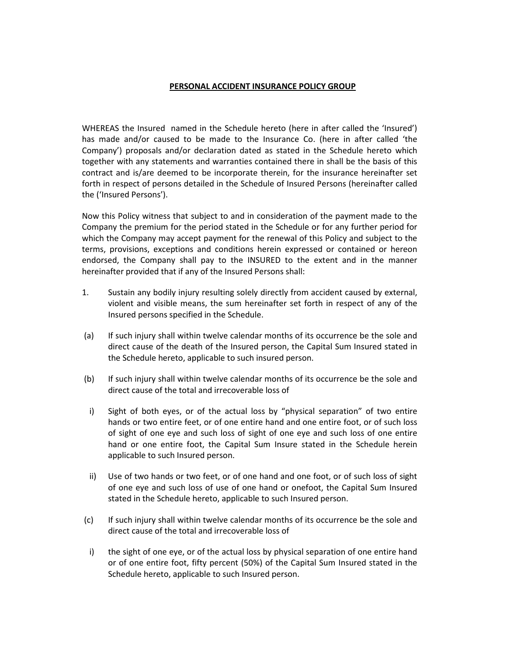# PERSONAL ACCIDENT INSURANCE POLICY GROUP

WHEREAS the Insured named in the Schedule hereto (here in after called the 'Insured') has made and/or caused to be made to the Insurance Co. (here in after called 'the Company') proposals and/or declaration dated as stated in the Schedule hereto which together with any statements and warranties contained there in shall be the basis of this contract and is/are deemed to be incorporate therein, for the insurance hereinafter set forth in respect of persons detailed in the Schedule of Insured Persons (hereinafter called the ('Insured Persons').

Now this Policy witness that subject to and in consideration of the payment made to the Company the premium for the period stated in the Schedule or for any further period for which the Company may accept payment for the renewal of this Policy and subject to the terms, provisions, exceptions and conditions herein expressed or contained or hereon endorsed, the Company shall pay to the INSURED to the extent and in the manner hereinafter provided that if any of the Insured Persons shall:

- 1. Sustain any bodily injury resulting solely directly from accident caused by external, violent and visible means, the sum hereinafter set forth in respect of any of the Insured persons specified in the Schedule.
- (a) If such injury shall within twelve calendar months of its occurrence be the sole and direct cause of the death of the Insured person, the Capital Sum Insured stated in the Schedule hereto, applicable to such insured person.
- (b) If such injury shall within twelve calendar months of its occurrence be the sole and direct cause of the total and irrecoverable loss of
- i) Sight of both eyes, or of the actual loss by "physical separation" of two entire hands or two entire feet, or of one entire hand and one entire foot, or of such loss of sight of one eye and such loss of sight of one eye and such loss of one entire hand or one entire foot, the Capital Sum Insure stated in the Schedule herein applicable to such Insured person.
- ii) Use of two hands or two feet, or of one hand and one foot, or of such loss of sight of one eye and such loss of use of one hand or onefoot, the Capital Sum Insured stated in the Schedule hereto, applicable to such Insured person.
- (c) If such injury shall within twelve calendar months of its occurrence be the sole and direct cause of the total and irrecoverable loss of
- i) the sight of one eye, or of the actual loss by physical separation of one entire hand or of one entire foot, fifty percent (50%) of the Capital Sum Insured stated in the Schedule hereto, applicable to such Insured person.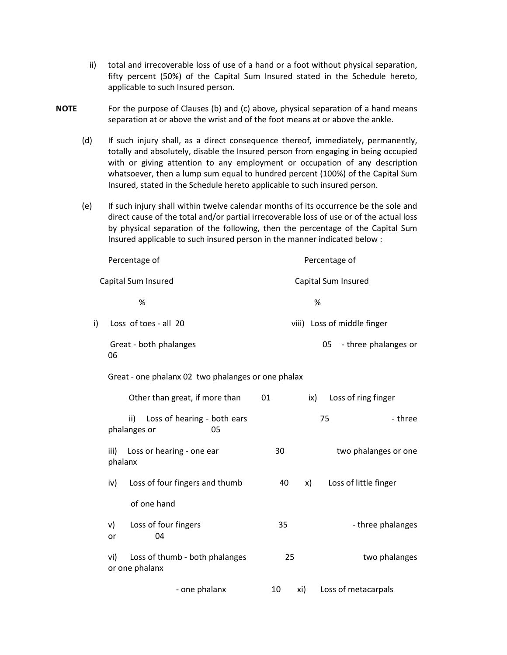- ii) total and irrecoverable loss of use of a hand or a foot without physical separation, fifty percent (50%) of the Capital Sum Insured stated in the Schedule hereto, applicable to such Insured person.
- NOTE For the purpose of Clauses (b) and (c) above, physical separation of a hand means separation at or above the wrist and of the foot means at or above the ankle.
	- (d) If such injury shall, as a direct consequence thereof, immediately, permanently, totally and absolutely, disable the Insured person from engaging in being occupied with or giving attention to any employment or occupation of any description whatsoever, then a lump sum equal to hundred percent (100%) of the Capital Sum Insured, stated in the Schedule hereto applicable to such insured person.
	- (e) If such injury shall within twelve calendar months of its occurrence be the sole and direct cause of the total and/or partial irrecoverable loss of use or of the actual loss by physical separation of the following, then the percentage of the Capital Sum Insured applicable to such insured person in the manner indicated below :

| Percentage of                                      |                                                          | Percentage of                     |                      |
|----------------------------------------------------|----------------------------------------------------------|-----------------------------------|----------------------|
| Capital Sum Insured                                |                                                          | Capital Sum Insured               |                      |
|                                                    | $\%$                                                     | %                                 |                      |
| i)                                                 | Loss of toes - all 20                                    | viii) Loss of middle finger       |                      |
|                                                    | Great - both phalanges<br>06                             | 05                                | - three phalanges or |
| Great - one phalanx 02 two phalanges or one phalax |                                                          |                                   |                      |
|                                                    | Other than great, if more than                           | Loss of ring finger<br>01<br>ix)  |                      |
|                                                    | ii)<br>Loss of hearing - both ears<br>phalanges or<br>05 | 75                                | - three              |
|                                                    | Loss or hearing - one ear<br>iii)<br>phalanx             | 30                                | two phalanges or one |
|                                                    | Loss of four fingers and thumb<br>iv)                    | Loss of little finger<br>40<br>x) |                      |
|                                                    | of one hand                                              |                                   |                      |
|                                                    | Loss of four fingers<br>v)<br>04<br>or                   | 35                                | - three phalanges    |
|                                                    | Loss of thumb - both phalanges<br>vi)<br>or one phalanx  | 25<br>two phalanges               |                      |
|                                                    | - one phalanx                                            | Loss of metacarpals<br>10<br>xi)  |                      |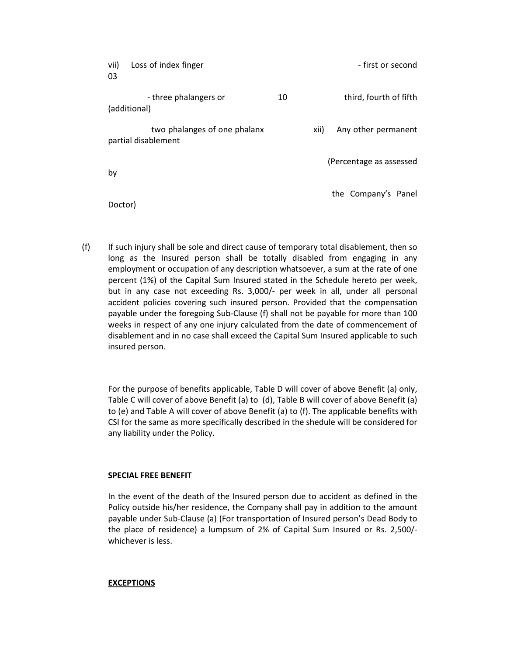| vii)<br>03 | Loss of index finger                                |    | - first or second           |
|------------|-----------------------------------------------------|----|-----------------------------|
|            | - three phalangers or<br>(additional)               | 10 | third, fourth of fifth      |
|            | two phalanges of one phalanx<br>partial disablement |    | Any other permanent<br>xii) |
| by         |                                                     |    | (Percentage as assessed     |
| Doctor)    |                                                     |    | the Company's Panel         |

(f) If such injury shall be sole and direct cause of temporary total disablement, then so long as the Insured person shall be totally disabled from engaging in any employment or occupation of any description whatsoever, a sum at the rate of one percent (1%) of the Capital Sum Insured stated in the Schedule hereto per week, but in any case not exceeding Rs. 3,000/- per week in all, under all personal accident policies covering such insured person. Provided that the compensation payable under the foregoing Sub-Clause (f) shall not be payable for more than 100 weeks in respect of any one injury calculated from the date of commencement of disablement and in no case shall exceed the Capital Sum Insured applicable to such insured person.

For the purpose of benefits applicable, Table D will cover of above Benefit (a) only, Table C will cover of above Benefit (a) to (d), Table B will cover of above Benefit (a) to (e) and Table A will cover of above Benefit (a) to (f). The applicable benefits with CSI for the same as more specifically described in the shedule will be considered for any liability under the Policy.

### SPECIAL FREE BENEFIT

In the event of the death of the Insured person due to accident as defined in the Policy outside his/her residence, the Company shall pay in addition to the amount payable under Sub-Clause (a) (For transportation of Insured person's Dead Body to the place of residence) a lumpsum of 2% of Capital Sum Insured or Rs. 2,500/ whichever is less.

### **EXCEPTIONS**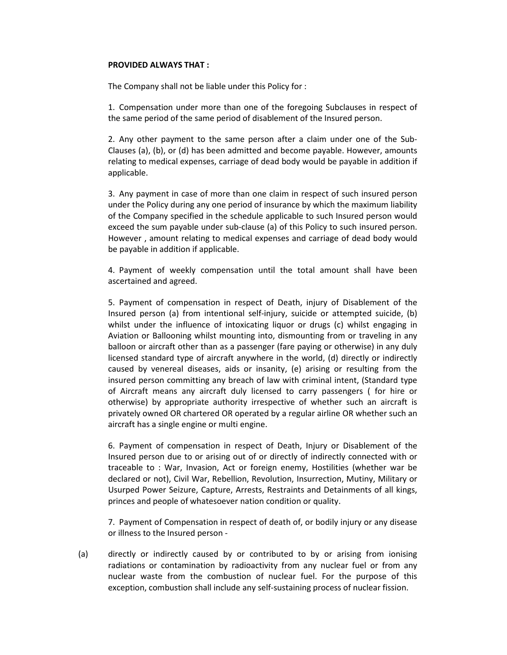### PROVIDED ALWAYS THAT :

The Company shall not be liable under this Policy for :

1. Compensation under more than one of the foregoing Subclauses in respect of the same period of the same period of disablement of the Insured person.

2. Any other payment to the same person after a claim under one of the Sub-Clauses (a), (b), or (d) has been admitted and become payable. However, amounts relating to medical expenses, carriage of dead body would be payable in addition if applicable.

3. Any payment in case of more than one claim in respect of such insured person under the Policy during any one period of insurance by which the maximum liability of the Company specified in the schedule applicable to such Insured person would exceed the sum payable under sub-clause (a) of this Policy to such insured person. However , amount relating to medical expenses and carriage of dead body would be payable in addition if applicable.

4. Payment of weekly compensation until the total amount shall have been ascertained and agreed.

5. Payment of compensation in respect of Death, injury of Disablement of the Insured person (a) from intentional self-injury, suicide or attempted suicide, (b) whilst under the influence of intoxicating liquor or drugs (c) whilst engaging in Aviation or Ballooning whilst mounting into, dismounting from or traveling in any balloon or aircraft other than as a passenger (fare paying or otherwise) in any duly licensed standard type of aircraft anywhere in the world, (d) directly or indirectly caused by venereal diseases, aids or insanity, (e) arising or resulting from the insured person committing any breach of law with criminal intent, (Standard type of Aircraft means any aircraft duly licensed to carry passengers ( for hire or otherwise) by appropriate authority irrespective of whether such an aircraft is privately owned OR chartered OR operated by a regular airline OR whether such an aircraft has a single engine or multi engine.

6. Payment of compensation in respect of Death, Injury or Disablement of the Insured person due to or arising out of or directly of indirectly connected with or traceable to : War, Invasion, Act or foreign enemy, Hostilities (whether war be declared or not), Civil War, Rebellion, Revolution, Insurrection, Mutiny, Military or Usurped Power Seizure, Capture, Arrests, Restraints and Detainments of all kings, princes and people of whatesoever nation condition or quality.

7. Payment of Compensation in respect of death of, or bodily injury or any disease or illness to the Insured person -

(a) directly or indirectly caused by or contributed to by or arising from ionising radiations or contamination by radioactivity from any nuclear fuel or from any nuclear waste from the combustion of nuclear fuel. For the purpose of this exception, combustion shall include any self-sustaining process of nuclear fission.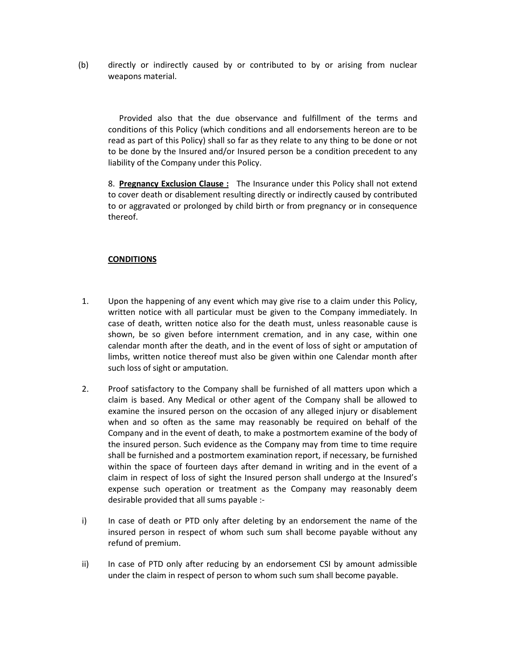(b) directly or indirectly caused by or contributed to by or arising from nuclear weapons material.

 Provided also that the due observance and fulfillment of the terms and conditions of this Policy (which conditions and all endorsements hereon are to be read as part of this Policy) shall so far as they relate to any thing to be done or not to be done by the Insured and/or Insured person be a condition precedent to any liability of the Company under this Policy.

8. Pregnancy Exclusion Clause: The Insurance under this Policy shall not extend to cover death or disablement resulting directly or indirectly caused by contributed to or aggravated or prolonged by child birth or from pregnancy or in consequence thereof.

## **CONDITIONS**

- 1. Upon the happening of any event which may give rise to a claim under this Policy, written notice with all particular must be given to the Company immediately. In case of death, written notice also for the death must, unless reasonable cause is shown, be so given before internment cremation, and in any case, within one calendar month after the death, and in the event of loss of sight or amputation of limbs, written notice thereof must also be given within one Calendar month after such loss of sight or amputation.
- 2. Proof satisfactory to the Company shall be furnished of all matters upon which a claim is based. Any Medical or other agent of the Company shall be allowed to examine the insured person on the occasion of any alleged injury or disablement when and so often as the same may reasonably be required on behalf of the Company and in the event of death, to make a postmortem examine of the body of the insured person. Such evidence as the Company may from time to time require shall be furnished and a postmortem examination report, if necessary, be furnished within the space of fourteen days after demand in writing and in the event of a claim in respect of loss of sight the Insured person shall undergo at the Insured's expense such operation or treatment as the Company may reasonably deem desirable provided that all sums payable :-
- i) In case of death or PTD only after deleting by an endorsement the name of the insured person in respect of whom such sum shall become payable without any refund of premium.
- ii) In case of PTD only after reducing by an endorsement CSI by amount admissible under the claim in respect of person to whom such sum shall become payable.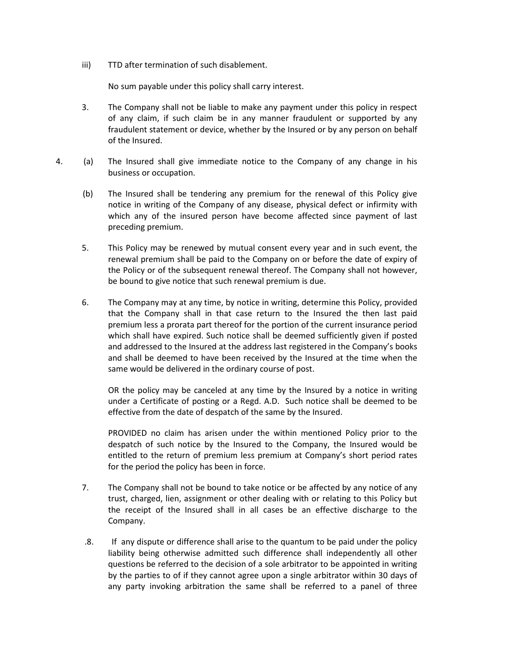iii) TTD after termination of such disablement.

No sum payable under this policy shall carry interest.

- 3. The Company shall not be liable to make any payment under this policy in respect of any claim, if such claim be in any manner fraudulent or supported by any fraudulent statement or device, whether by the Insured or by any person on behalf of the Insured.
- 4. (a) The Insured shall give immediate notice to the Company of any change in his business or occupation.
	- (b) The Insured shall be tendering any premium for the renewal of this Policy give notice in writing of the Company of any disease, physical defect or infirmity with which any of the insured person have become affected since payment of last preceding premium.
	- 5. This Policy may be renewed by mutual consent every year and in such event, the renewal premium shall be paid to the Company on or before the date of expiry of the Policy or of the subsequent renewal thereof. The Company shall not however, be bound to give notice that such renewal premium is due.
	- 6. The Company may at any time, by notice in writing, determine this Policy, provided that the Company shall in that case return to the Insured the then last paid premium less a prorata part thereof for the portion of the current insurance period which shall have expired. Such notice shall be deemed sufficiently given if posted and addressed to the Insured at the address last registered in the Company's books and shall be deemed to have been received by the Insured at the time when the same would be delivered in the ordinary course of post.

 OR the policy may be canceled at any time by the Insured by a notice in writing under a Certificate of posting or a Regd. A.D. Such notice shall be deemed to be effective from the date of despatch of the same by the Insured.

 PROVIDED no claim has arisen under the within mentioned Policy prior to the despatch of such notice by the Insured to the Company, the Insured would be entitled to the return of premium less premium at Company's short period rates for the period the policy has been in force.

- 7. The Company shall not be bound to take notice or be affected by any notice of any trust, charged, lien, assignment or other dealing with or relating to this Policy but the receipt of the Insured shall in all cases be an effective discharge to the Company.
- .8. If any dispute or difference shall arise to the quantum to be paid under the policy liability being otherwise admitted such difference shall independently all other questions be referred to the decision of a sole arbitrator to be appointed in writing by the parties to of if they cannot agree upon a single arbitrator within 30 days of any party invoking arbitration the same shall be referred to a panel of three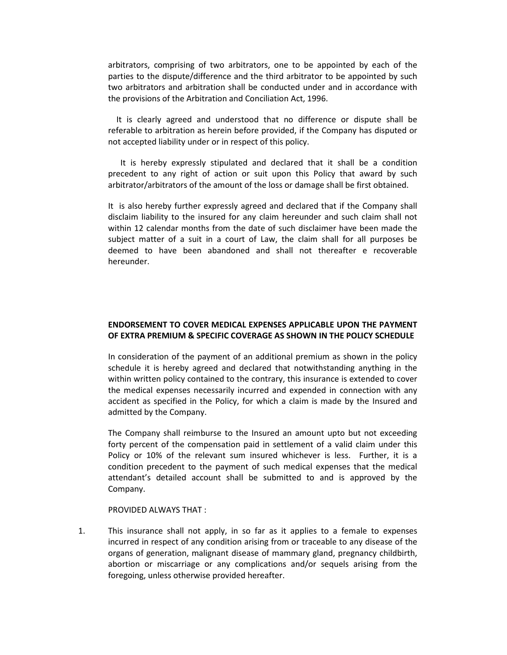arbitrators, comprising of two arbitrators, one to be appointed by each of the parties to the dispute/difference and the third arbitrator to be appointed by such two arbitrators and arbitration shall be conducted under and in accordance with the provisions of the Arbitration and Conciliation Act, 1996.

 It is clearly agreed and understood that no difference or dispute shall be referable to arbitration as herein before provided, if the Company has disputed or not accepted liability under or in respect of this policy.

 It is hereby expressly stipulated and declared that it shall be a condition precedent to any right of action or suit upon this Policy that award by such arbitrator/arbitrators of the amount of the loss or damage shall be first obtained.

It is also hereby further expressly agreed and declared that if the Company shall disclaim liability to the insured for any claim hereunder and such claim shall not within 12 calendar months from the date of such disclaimer have been made the subject matter of a suit in a court of Law, the claim shall for all purposes be deemed to have been abandoned and shall not thereafter e recoverable hereunder.

# ENDORSEMENT TO COVER MEDICAL EXPENSES APPLICABLE UPON THE PAYMENT OF EXTRA PREMIUM & SPECIFIC COVERAGE AS SHOWN IN THE POLICY SCHEDULE

In consideration of the payment of an additional premium as shown in the policy schedule it is hereby agreed and declared that notwithstanding anything in the within written policy contained to the contrary, this insurance is extended to cover the medical expenses necessarily incurred and expended in connection with any accident as specified in the Policy, for which a claim is made by the Insured and admitted by the Company.

The Company shall reimburse to the Insured an amount upto but not exceeding forty percent of the compensation paid in settlement of a valid claim under this Policy or 10% of the relevant sum insured whichever is less. Further, it is a condition precedent to the payment of such medical expenses that the medical attendant's detailed account shall be submitted to and is approved by the Company.

PROVIDED ALWAYS THAT :

1. This insurance shall not apply, in so far as it applies to a female to expenses incurred in respect of any condition arising from or traceable to any disease of the organs of generation, malignant disease of mammary gland, pregnancy childbirth, abortion or miscarriage or any complications and/or sequels arising from the foregoing, unless otherwise provided hereafter.